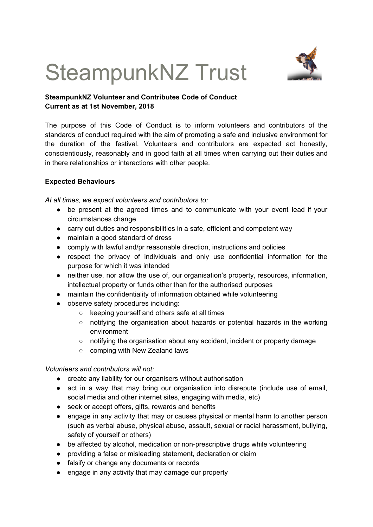# SteampunkNZ Trust



## **SteampunkNZ Volunteer and Contributes Code of Conduct Current as at 1st November, 2018**

The purpose of this Code of Conduct is to inform volunteers and contributors of the standards of conduct required with the aim of promoting a safe and inclusive environment for the duration of the festival. Volunteers and contributors are expected act honestly, conscientiously, reasonably and in good faith at all times when carrying out their duties and in there relationships or interactions with other people.

### **Expected Behaviours**

*At all times, we expect volunteers and contributors to:*

- be present at the agreed times and to communicate with your event lead if your circumstances change
- carry out duties and responsibilities in a safe, efficient and competent way
- maintain a good standard of dress
- comply with lawful and/pr reasonable direction, instructions and policies
- respect the privacy of individuals and only use confidential information for the purpose for which it was intended
- neither use, nor allow the use of, our organisation's property, resources, information, intellectual property or funds other than for the authorised purposes
- maintain the confidentiality of information obtained while volunteering
- observe safety procedures including:
	- keeping yourself and others safe at all times
	- notifying the organisation about hazards or potential hazards in the working environment
	- notifying the organisation about any accident, incident or property damage
	- comping with New Zealand laws

*Volunteers and contributors will not:*

- create any liability for our organisers without authorisation
- act in a way that may bring our organisation into disrepute (include use of email, social media and other internet sites, engaging with media, etc)
- seek or accept offers, gifts, rewards and benefits
- engage in any activity that may or causes physical or mental harm to another person (such as verbal abuse, physical abuse, assault, sexual or racial harassment, bullying, safety of yourself or others)
- be affected by alcohol, medication or non-prescriptive drugs while volunteering
- providing a false or misleading statement, declaration or claim
- falsify or change any documents or records
- engage in any activity that may damage our property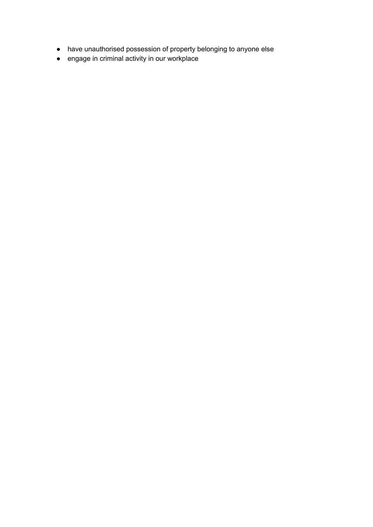- have unauthorised possession of property belonging to anyone else
- engage in criminal activity in our workplace